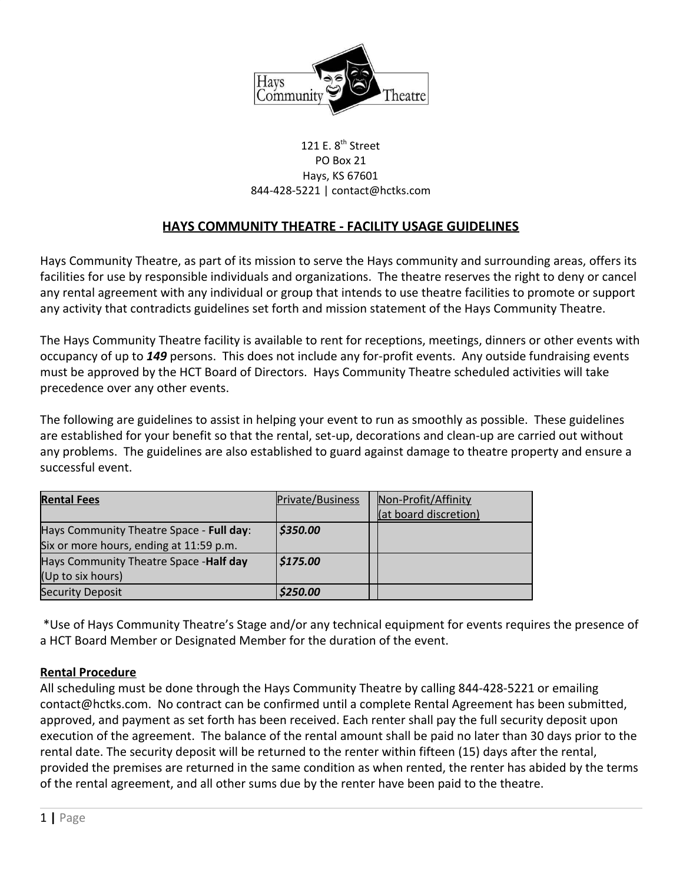

#### 121 E. 8<sup>th</sup> Street PO Box 21 Hays, KS 67601 844-428-5221 | contact@hctks.com

# **HAYS COMMUNITY THEATRE - FACILITY USAGE GUIDELINES**

Hays Community Theatre, as part of its mission to serve the Hays community and surrounding areas, offers its facilities for use by responsible individuals and organizations. The theatre reserves the right to deny or cancel any rental agreement with any individual or group that intends to use theatre facilities to promote or support any activity that contradicts guidelines set forth and mission statement of the Hays Community Theatre.

The Hays Community Theatre facility is available to rent for receptions, meetings, dinners or other events with occupancy of up to *149* persons. This does not include any for-profit events. Any outside fundraising events must be approved by the HCT Board of Directors. Hays Community Theatre scheduled activities will take precedence over any other events.

The following are guidelines to assist in helping your event to run as smoothly as possible. These guidelines are established for your benefit so that the rental, set-up, decorations and clean-up are carried out without any problems. The guidelines are also established to guard against damage to theatre property and ensure a successful event.

| <b>Rental Fees</b>                       | Private/Business | Non-Profit/Affinity   |
|------------------------------------------|------------------|-----------------------|
|                                          |                  | (at board discretion) |
| Hays Community Theatre Space - Full day: | \$350.00         |                       |
| Six or more hours, ending at 11:59 p.m.  |                  |                       |
| Hays Community Theatre Space -Half day   | \$175.00         |                       |
| (Up to six hours)                        |                  |                       |
| <b>Security Deposit</b>                  | \$250.00         |                       |

 \*Use of Hays Community Theatre's Stage and/or any technical equipment for events requires the presence of a HCT Board Member or Designated Member for the duration of the event.

### **Rental Procedure**

All scheduling must be done through the Hays Community Theatre by calling 844-428-5221 or emailing contact@hctks.com. No contract can be confirmed until a complete Rental Agreement has been submitted, approved, and payment as set forth has been received. Each renter shall pay the full security deposit upon execution of the agreement. The balance of the rental amount shall be paid no later than 30 days prior to the rental date. The security deposit will be returned to the renter within fifteen (15) days after the rental, provided the premises are returned in the same condition as when rented, the renter has abided by the terms of the rental agreement, and all other sums due by the renter have been paid to the theatre.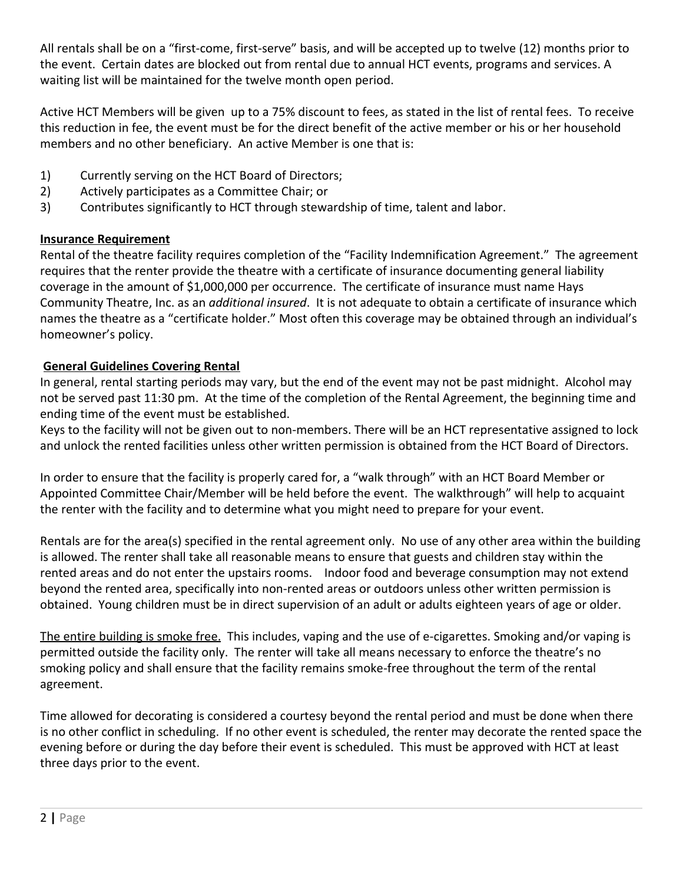All rentals shall be on a "first-come, first-serve" basis, and will be accepted up to twelve (12) months prior to the event. Certain dates are blocked out from rental due to annual HCT events, programs and services. A waiting list will be maintained for the twelve month open period.

Active HCT Members will be given up to a 75% discount to fees, as stated in the list of rental fees. To receive this reduction in fee, the event must be for the direct benefit of the active member or his or her household members and no other beneficiary. An active Member is one that is:

- 1) Currently serving on the HCT Board of Directors;
- 2) Actively participates as a Committee Chair; or
- 3) Contributes significantly to HCT through stewardship of time, talent and labor.

## **Insurance Requirement**

Rental of the theatre facility requires completion of the "Facility Indemnification Agreement." The agreement requires that the renter provide the theatre with a certificate of insurance documenting general liability coverage in the amount of \$1,000,000 per occurrence. The certificate of insurance must name Hays Community Theatre, Inc. as an *additional insured*. It is not adequate to obtain a certificate of insurance which names the theatre as a "certificate holder." Most often this coverage may be obtained through an individual's homeowner's policy.

# **General Guidelines Covering Rental**

In general, rental starting periods may vary, but the end of the event may not be past midnight. Alcohol may not be served past 11:30 pm. At the time of the completion of the Rental Agreement, the beginning time and ending time of the event must be established.

Keys to the facility will not be given out to non-members. There will be an HCT representative assigned to lock and unlock the rented facilities unless other written permission is obtained from the HCT Board of Directors.

In order to ensure that the facility is properly cared for, a "walk through" with an HCT Board Member or Appointed Committee Chair/Member will be held before the event. The walkthrough" will help to acquaint the renter with the facility and to determine what you might need to prepare for your event.

Rentals are for the area(s) specified in the rental agreement only. No use of any other area within the building is allowed. The renter shall take all reasonable means to ensure that guests and children stay within the rented areas and do not enter the upstairs rooms. Indoor food and beverage consumption may not extend beyond the rented area, specifically into non-rented areas or outdoors unless other written permission is obtained. Young children must be in direct supervision of an adult or adults eighteen years of age or older.

The entire building is smoke free. This includes, vaping and the use of e-cigarettes. Smoking and/or vaping is permitted outside the facility only. The renter will take all means necessary to enforce the theatre's no smoking policy and shall ensure that the facility remains smoke-free throughout the term of the rental agreement.

Time allowed for decorating is considered a courtesy beyond the rental period and must be done when there is no other conflict in scheduling. If no other event is scheduled, the renter may decorate the rented space the evening before or during the day before their event is scheduled. This must be approved with HCT at least three days prior to the event.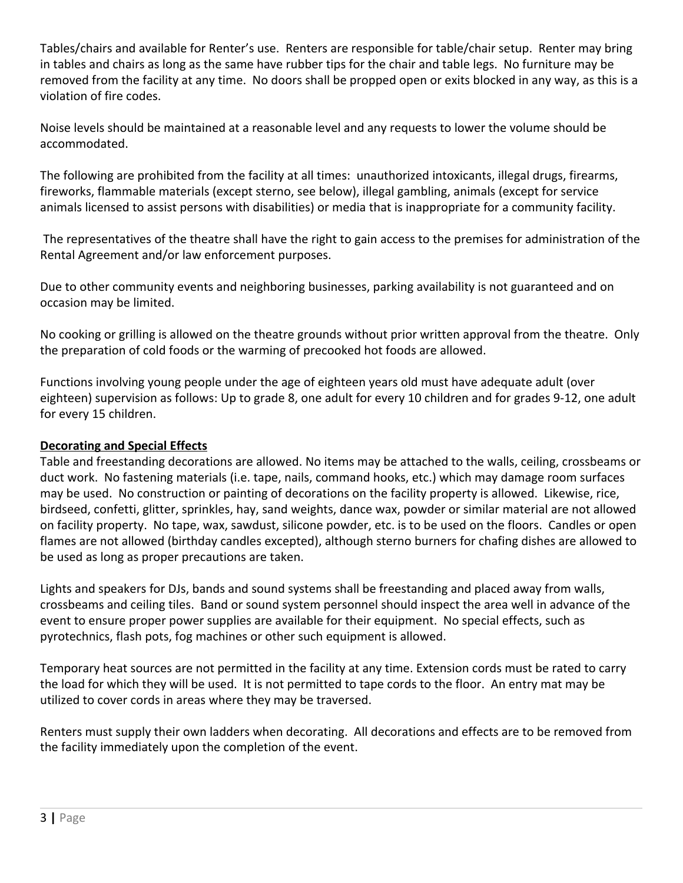Tables/chairs and available for Renter's use. Renters are responsible for table/chair setup. Renter may bring in tables and chairs as long as the same have rubber tips for the chair and table legs. No furniture may be removed from the facility at any time. No doors shall be propped open or exits blocked in any way, as this is a violation of fire codes.

Noise levels should be maintained at a reasonable level and any requests to lower the volume should be accommodated.

The following are prohibited from the facility at all times: unauthorized intoxicants, illegal drugs, firearms, fireworks, flammable materials (except sterno, see below), illegal gambling, animals (except for service animals licensed to assist persons with disabilities) or media that is inappropriate for a community facility.

 The representatives of the theatre shall have the right to gain access to the premises for administration of the Rental Agreement and/or law enforcement purposes.

Due to other community events and neighboring businesses, parking availability is not guaranteed and on occasion may be limited.

No cooking or grilling is allowed on the theatre grounds without prior written approval from the theatre. Only the preparation of cold foods or the warming of precooked hot foods are allowed.

Functions involving young people under the age of eighteen years old must have adequate adult (over eighteen) supervision as follows: Up to grade 8, one adult for every 10 children and for grades 9-12, one adult for every 15 children.

### **Decorating and Special Effects**

Table and freestanding decorations are allowed. No items may be attached to the walls, ceiling, crossbeams or duct work. No fastening materials (i.e. tape, nails, command hooks, etc.) which may damage room surfaces may be used. No construction or painting of decorations on the facility property is allowed. Likewise, rice, birdseed, confetti, glitter, sprinkles, hay, sand weights, dance wax, powder or similar material are not allowed on facility property. No tape, wax, sawdust, silicone powder, etc. is to be used on the floors. Candles or open flames are not allowed (birthday candles excepted), although sterno burners for chafing dishes are allowed to be used as long as proper precautions are taken.

Lights and speakers for DJs, bands and sound systems shall be freestanding and placed away from walls, crossbeams and ceiling tiles. Band or sound system personnel should inspect the area well in advance of the event to ensure proper power supplies are available for their equipment. No special effects, such as pyrotechnics, flash pots, fog machines or other such equipment is allowed.

Temporary heat sources are not permitted in the facility at any time. Extension cords must be rated to carry the load for which they will be used. It is not permitted to tape cords to the floor. An entry mat may be utilized to cover cords in areas where they may be traversed.

Renters must supply their own ladders when decorating. All decorations and effects are to be removed from the facility immediately upon the completion of the event.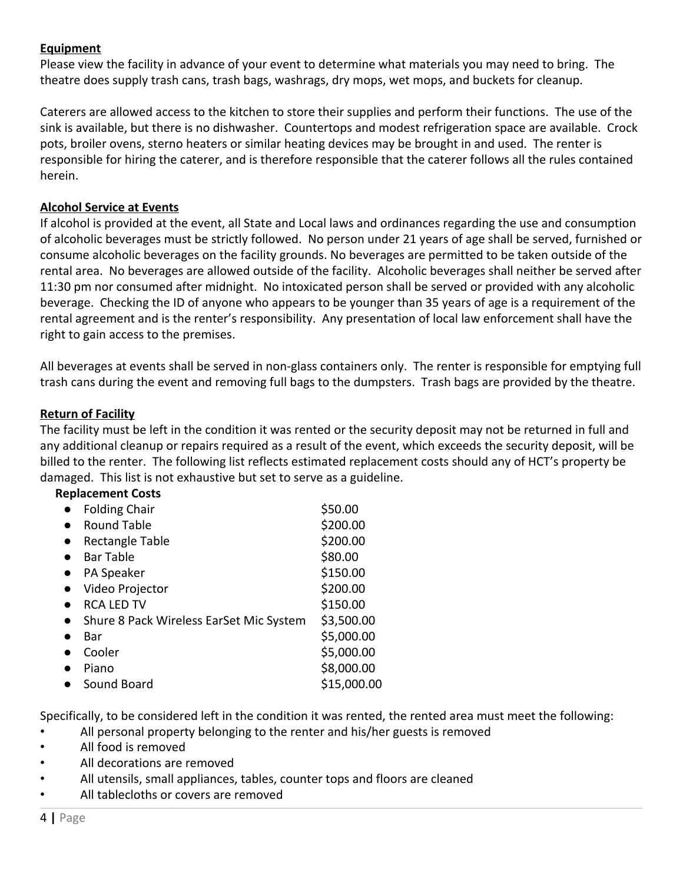### **Equipment**

Please view the facility in advance of your event to determine what materials you may need to bring. The theatre does supply trash cans, trash bags, washrags, dry mops, wet mops, and buckets for cleanup.

Caterers are allowed access to the kitchen to store their supplies and perform their functions. The use of the sink is available, but there is no dishwasher. Countertops and modest refrigeration space are available. Crock pots, broiler ovens, sterno heaters or similar heating devices may be brought in and used. The renter is responsible for hiring the caterer, and is therefore responsible that the caterer follows all the rules contained herein.

#### **Alcohol Service at Events**

If alcohol is provided at the event, all State and Local laws and ordinances regarding the use and consumption of alcoholic beverages must be strictly followed. No person under 21 years of age shall be served, furnished or consume alcoholic beverages on the facility grounds. No beverages are permitted to be taken outside of the rental area. No beverages are allowed outside of the facility. Alcoholic beverages shall neither be served after 11:30 pm nor consumed after midnight. No intoxicated person shall be served or provided with any alcoholic beverage. Checking the ID of anyone who appears to be younger than 35 years of age is a requirement of the rental agreement and is the renter's responsibility. Any presentation of local law enforcement shall have the right to gain access to the premises.

All beverages at events shall be served in non-glass containers only. The renter is responsible for emptying full trash cans during the event and removing full bags to the dumpsters. Trash bags are provided by the theatre.

#### **Return of Facility**

The facility must be left in the condition it was rented or the security deposit may not be returned in full and any additional cleanup or repairs required as a result of the event, which exceeds the security deposit, will be billed to the renter. The following list reflects estimated replacement costs should any of HCT's property be damaged. This list is not exhaustive but set to serve as a guideline.

### **Replacement Costs**

| <b>Folding Chair</b>                    | \$50.00     |
|-----------------------------------------|-------------|
| <b>Round Table</b>                      | \$200.00    |
| Rectangle Table                         | \$200.00    |
| <b>Bar Table</b>                        | \$80.00     |
| PA Speaker                              | \$150.00    |
| Video Projector                         | \$200.00    |
| <b>RCA LED TV</b>                       | \$150.00    |
| Shure 8 Pack Wireless EarSet Mic System | \$3,500.00  |
| Bar                                     | \$5,000.00  |
| Cooler                                  | \$5,000.00  |
| Piano                                   | \$8,000.00  |
| Sound Board                             | \$15,000.00 |
|                                         |             |

Specifically, to be considered left in the condition it was rented, the rented area must meet the following:

- All personal property belonging to the renter and his/her guests is removed
- All food is removed
- All decorations are removed
- All utensils, small appliances, tables, counter tops and floors are cleaned
- All tablecloths or covers are removed